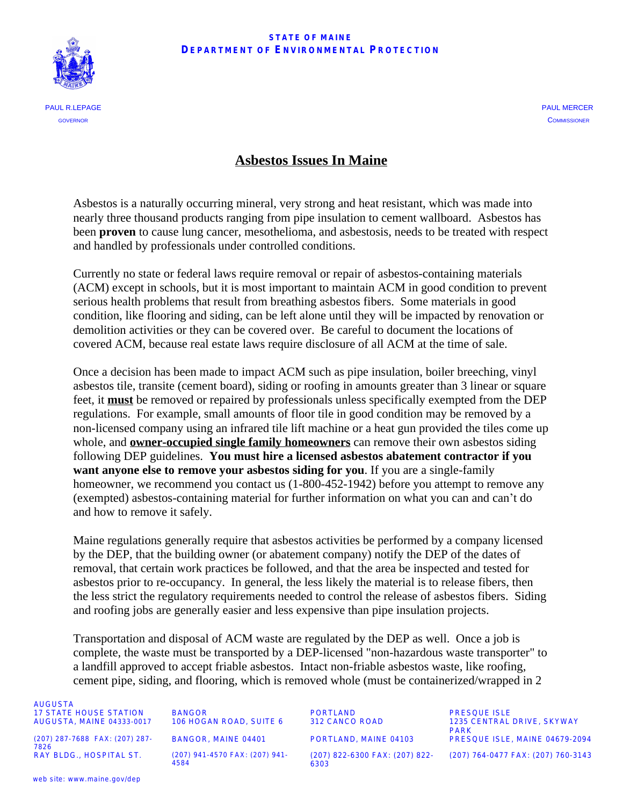#### **STATE OF MAINE**  $D$ **EPARTMENT OF ENVIRONMENTAL PROTECTION**



### **Asbestos Issues In Maine**

Asbestos is a naturally occurring mineral, very strong and heat resistant, which was made into nearly three thousand products ranging from pipe insulation to cement wallboard. Asbestos has been **proven** to cause lung cancer, mesothelioma, and asbestosis, needs to be treated with respect and handled by professionals under controlled conditions.

Currently no state or federal laws require removal or repair of asbestos-containing materials (ACM) except in schools, but it is most important to maintain ACM in good condition to prevent serious health problems that result from breathing asbestos fibers. Some materials in good condition, like flooring and siding, can be left alone until they will be impacted by renovation or demolition activities or they can be covered over. Be careful to document the locations of covered ACM, because real estate laws require disclosure of all ACM at the time of sale.

Once a decision has been made to impact ACM such as pipe insulation, boiler breeching, vinyl asbestos tile, transite (cement board), siding or roofing in amounts greater than 3 linear or square feet, it **must** be removed or repaired by professionals unless specifically exempted from the DEP regulations. For example, small amounts of floor tile in good condition may be removed by a non-licensed company using an infrared tile lift machine or a heat gun provided the tiles come up whole, and **owner-occupied single family homeowners** can remove their own asbestos siding following DEP guidelines. **You must hire a licensed asbestos abatement contractor if you want anyone else to remove your asbestos siding for you**. If you are a single-family homeowner, we recommend you contact us  $(1-800-452-1942)$  before you attempt to remove any (exempted) asbestos-containing material for further information on what you can and can't do and how to remove it safely.

Maine regulations generally require that asbestos activities be performed by a company licensed by the DEP, that the building owner (or abatement company) notify the DEP of the dates of removal, that certain work practices be followed, and that the area be inspected and tested for asbestos prior to re-occupancy. In general, the less likely the material is to release fibers, then the less strict the regulatory requirements needed to control the release of asbestos fibers. Siding and roofing jobs are generally easier and less expensive than pipe insulation projects.

Transportation and disposal of ACM waste are regulated by the DEP as well. Once a job is complete, the waste must be transported by a DEP-licensed "non-hazardous waste transporter" to a landfill approved to accept friable asbestos. Intact non-friable asbestos waste, like roofing, cement pipe, siding, and flooring, which is removed whole (must be containerized/wrapped in 2

AUGUSTA 17 STATE HOUSE STATION BANGOR PORTLAND PRESQUE ISLE

(207) 287-7688 FAX: (207) 287- 7826<br>RAY BLDG., HOSPITAL ST.

(207) 941-4570 FAX: (207) 941-4584

(207) 822-6300 FAX: (207) 822- 6303

1235 CENTRAL DRIVE, SKYWAY PARK BANGOR, MAINE 04401 PORTLAND, MAINE 04103 PRESQUE ISLE, MAINE 04679-2094 (207) 764-0477 FAX: (207) 760-3143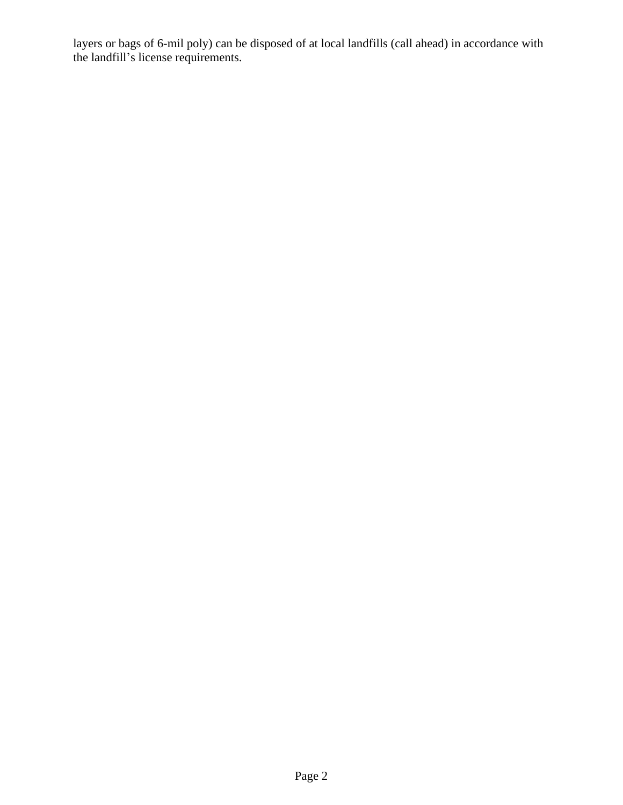layers or bags of 6-mil poly) can be disposed of at local landfills (call ahead) in accordance with the landfill's license requirements.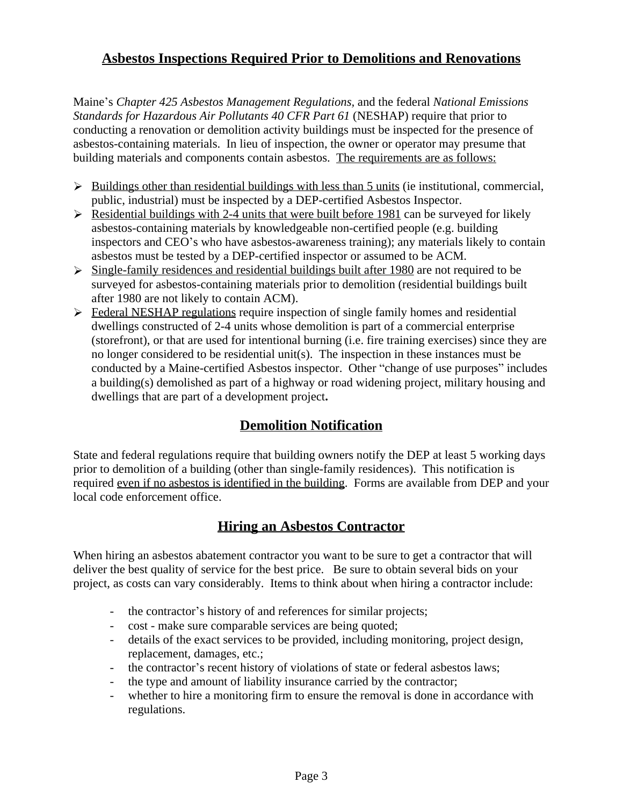# **Asbestos Inspections Required Prior to Demolitions and Renovations**

Maine's *Chapter 425 Asbestos Management Regulations,* and the federal *National Emissions Standards for Hazardous Air Pollutants 40 CFR Part 61* (NESHAP) require that prior to conducting a renovation or demolition activity buildings must be inspected for the presence of asbestos-containing materials. In lieu of inspection, the owner or operator may presume that building materials and components contain asbestos. The requirements are as follows:

- $\triangleright$  Buildings other than residential buildings with less than 5 units (ie institutional, commercial, public, industrial) must be inspected by a DEP-certified Asbestos Inspector.
- $\triangleright$  Residential buildings with 2-4 units that were built before 1981 can be surveyed for likely asbestos-containing materials by knowledgeable non-certified people (e.g. building inspectors and CEO's who have asbestos-awareness training); any materials likely to contain asbestos must be tested by a DEP-certified inspector or assumed to be ACM.
- $\geq$  Single-family residences and residential buildings built after 1980 are not required to be surveyed for asbestos-containing materials prior to demolition (residential buildings built after 1980 are not likely to contain ACM).
- **Federal NESHAP regulations require inspection of single family homes and residential** dwellings constructed of 2-4 units whose demolition is part of a commercial enterprise (storefront), or that are used for intentional burning (i.e. fire training exercises) since they are no longer considered to be residential unit(s). The inspection in these instances must be conducted by a Maine-certified Asbestos inspector. Other "change of use purposes" includes a building(s) demolished as part of a highway or road widening project, military housing and dwellings that are part of a development project**.**

## **Demolition Notification**

State and federal regulations require that building owners notify the DEP at least 5 working days prior to demolition of a building (other than single-family residences). This notification is required even if no asbestos is identified in the building. Forms are available from DEP and your local code enforcement office.

## **Hiring an Asbestos Contractor**

When hiring an asbestos abatement contractor you want to be sure to get a contractor that will deliver the best quality of service for the best price. Be sure to obtain several bids on your project, as costs can vary considerably. Items to think about when hiring a contractor include:

- the contractor's history of and references for similar projects;
- cost make sure comparable services are being quoted;
- details of the exact services to be provided, including monitoring, project design, replacement, damages, etc.;
- the contractor's recent history of violations of state or federal asbestos laws;
- the type and amount of liability insurance carried by the contractor;
- whether to hire a monitoring firm to ensure the removal is done in accordance with regulations.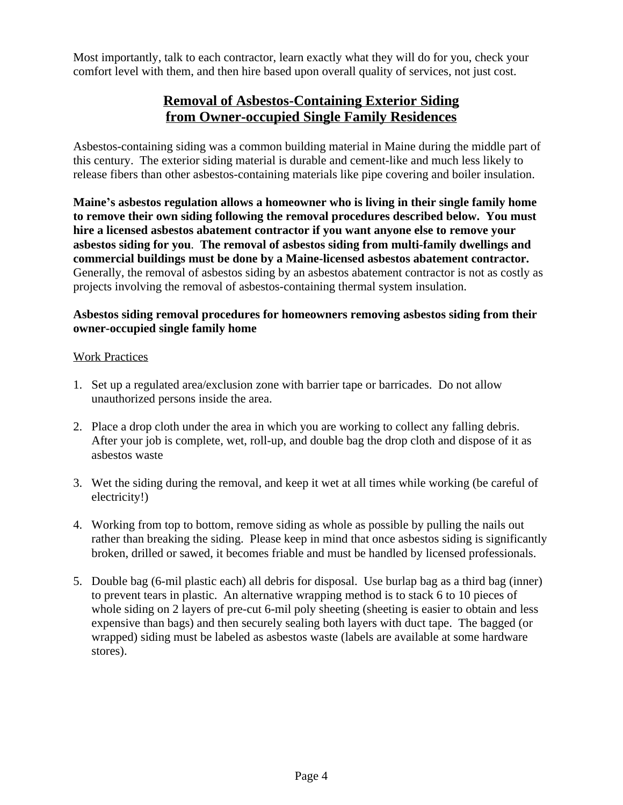Most importantly, talk to each contractor, learn exactly what they will do for you, check your comfort level with them, and then hire based upon overall quality of services, not just cost.

# **Removal of Asbestos-Containing Exterior Siding from Owner-occupied Single Family Residences**

Asbestos-containing siding was a common building material in Maine during the middle part of this century. The exterior siding material is durable and cement-like and much less likely to release fibers than other asbestos-containing materials like pipe covering and boiler insulation.

**Maine's asbestos regulation allows a homeowner who is living in their single family home to remove their own siding following the removal procedures described below. You must hire a licensed asbestos abatement contractor if you want anyone else to remove your asbestos siding for you**. **The removal of asbestos siding from multi-family dwellings and commercial buildings must be done by a Maine-licensed asbestos abatement contractor.**  Generally, the removal of asbestos siding by an asbestos abatement contractor is not as costly as projects involving the removal of asbestos-containing thermal system insulation.

### **Asbestos siding removal procedures for homeowners removing asbestos siding from their owner-occupied single family home**

#### Work Practices

- 1. Set up a regulated area/exclusion zone with barrier tape or barricades. Do not allow unauthorized persons inside the area.
- 2. Place a drop cloth under the area in which you are working to collect any falling debris. After your job is complete, wet, roll-up, and double bag the drop cloth and dispose of it as asbestos waste
- 3. Wet the siding during the removal, and keep it wet at all times while working (be careful of electricity!)
- 4. Working from top to bottom, remove siding as whole as possible by pulling the nails out rather than breaking the siding. Please keep in mind that once asbestos siding is significantly broken, drilled or sawed, it becomes friable and must be handled by licensed professionals.
- 5. Double bag (6-mil plastic each) all debris for disposal. Use burlap bag as a third bag (inner) to prevent tears in plastic. An alternative wrapping method is to stack 6 to 10 pieces of whole siding on 2 layers of pre-cut 6-mil poly sheeting (sheeting is easier to obtain and less expensive than bags) and then securely sealing both layers with duct tape. The bagged (or wrapped) siding must be labeled as asbestos waste (labels are available at some hardware stores).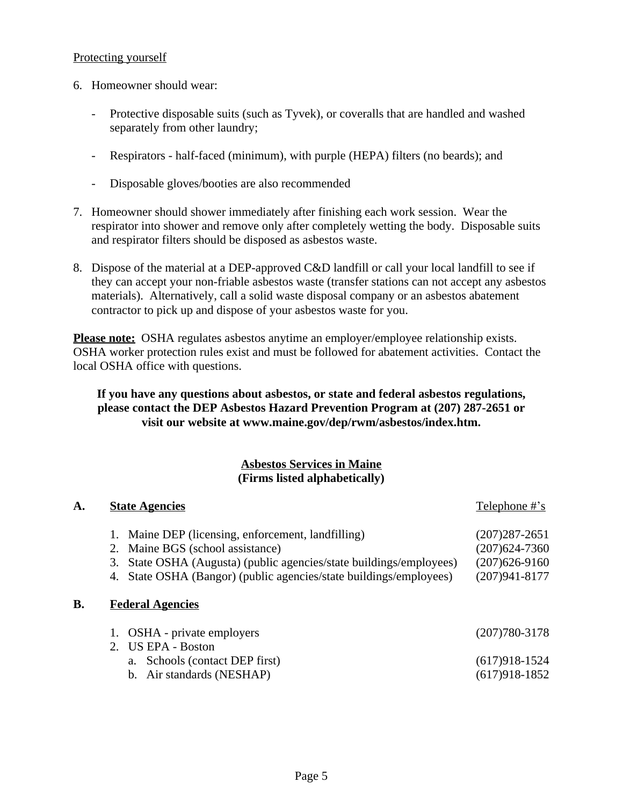#### Protecting yourself

- 6. Homeowner should wear:
	- Protective disposable suits (such as Tyvek), or coveralls that are handled and washed separately from other laundry;
	- Respirators half-faced (minimum), with purple (HEPA) filters (no beards); and
	- Disposable gloves/booties are also recommended
- 7. Homeowner should shower immediately after finishing each work session. Wear the respirator into shower and remove only after completely wetting the body. Disposable suits and respirator filters should be disposed as asbestos waste.
- 8. Dispose of the material at a DEP-approved C&D landfill or call your local landfill to see if they can accept your non-friable asbestos waste (transfer stations can not accept any asbestos materials). Alternatively, call a solid waste disposal company or an asbestos abatement contractor to pick up and dispose of your asbestos waste for you.

**Please note:** OSHA regulates asbestos anytime an employer/employee relationship exists. OSHA worker protection rules exist and must be followed for abatement activities. Contact the local OSHA office with questions.

### **If you have any questions about asbestos, or state and federal asbestos regulations, please contact the DEP Asbestos Hazard Prevention Program at (207) 287-2651 or visit our website at www.maine.gov/dep/rwm/asbestos/index.htm.**

### **Asbestos Services in Maine (Firms listed alphabetically)**

| A. | <b>State Agencies</b>                                                                                                                                                                                                                                                | Telephone #'s                                                                  |
|----|----------------------------------------------------------------------------------------------------------------------------------------------------------------------------------------------------------------------------------------------------------------------|--------------------------------------------------------------------------------|
| B. | Maine DEP (licensing, enforcement, landfilling)<br>Maine BGS (school assistance)<br>2.<br>State OSHA (Augusta) (public agencies/state buildings/employees)<br>3.<br>State OSHA (Bangor) (public agencies/state buildings/employees)<br>4.<br><b>Federal Agencies</b> | $(207)287 - 2651$<br>$(207)624 - 7360$<br>$(207)626-9160$<br>$(207)941 - 8177$ |
|    | OSHA - private employers<br>2. US EPA - Boston<br>Schools (contact DEP first)<br>a.<br>Air standards (NESHAP)<br>b.                                                                                                                                                  | $(207)780 - 3178$<br>$(617)918-1524$<br>$(617)918-1852$                        |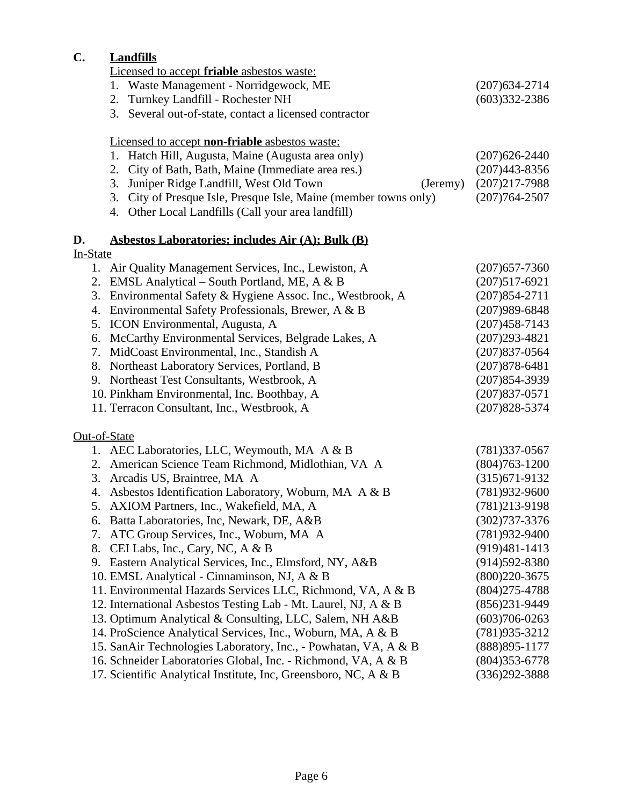# **C. Landfills**

| Licensed to accept <b>friable</b> asbestos waste: |  |
|---------------------------------------------------|--|
|                                                   |  |

|              | <u>Enconseu to accept matter asocstos maste:</u>                    |                   |
|--------------|---------------------------------------------------------------------|-------------------|
|              | 1. Waste Management - Norridgewock, ME                              | $(207)634 - 2714$ |
|              | Turnkey Landfill - Rochester NH<br>2.                               | $(603)332 - 2386$ |
|              | Several out-of-state, contact a licensed contractor<br>3.           |                   |
|              | Licensed to accept non-friable asbestos waste:                      |                   |
|              | Hatch Hill, Augusta, Maine (Augusta area only)<br>1.                | $(207)626 - 2440$ |
|              | City of Bath, Bath, Maine (Immediate area res.)<br>2.               | $(207)443 - 8356$ |
|              | 3.<br>Juniper Ridge Landfill, West Old Town<br>(Jeremy)             | $(207)217 - 7988$ |
|              | City of Presque Isle, Presque Isle, Maine (member towns only)<br>3. | $(207)764 - 2507$ |
|              | Other Local Landfills (Call your area landfill)<br>4.               |                   |
| D.           | <b>Asbestos Laboratories: includes Air (A); Bulk (B)</b>            |                   |
| In-State     |                                                                     |                   |
|              | 1. Air Quality Management Services, Inc., Lewiston, A               | $(207)$ 657-7360  |
|              | 2. EMSL Analytical – South Portland, ME, A & B                      | $(207)517-6921$   |
| 3.           | Environmental Safety & Hygiene Assoc. Inc., Westbrook, A            | $(207)854 - 2711$ |
| 4.           | Environmental Safety Professionals, Brewer, A & B                   | $(207)989 - 6848$ |
| 5.           | <b>ICON</b> Environmental, Augusta, A                               | $(207)458 - 7143$ |
| 6.           | McCarthy Environmental Services, Belgrade Lakes, A                  | $(207)293 - 4821$ |
| 7.           | MidCoast Environmental, Inc., Standish A                            | $(207)837 - 0564$ |
|              | 8. Northeast Laboratory Services, Portland, B                       | $(207)878 - 6481$ |
|              | 9. Northeast Test Consultants, Westbrook, A                         | $(207)854-3939$   |
|              | 10. Pinkham Environmental, Inc. Boothbay, A                         | $(207)837-0571$   |
|              | 11. Terracon Consultant, Inc., Westbrook, A                         | $(207)828 - 5374$ |
| Out-of-State |                                                                     |                   |
|              | 1. AEC Laboratories, LLC, Weymouth, MA A & B                        | $(781)337-0567$   |
| 2.           | American Science Team Richmond, Midlothian, VA A                    | $(804)763 - 1200$ |
| 3.           | Arcadis US, Braintree, MA A                                         | $(315)671-9132$   |
| 4.           | Asbestos Identification Laboratory, Woburn, MA A & B                | $(781)932-9600$   |
| 5.           | AXIOM Partners, Inc., Wakefield, MA, A                              | $(781)213-9198$   |
|              | 6. Batta Laboratories, Inc, Newark, DE, A&B                         | $(302)737 - 3376$ |
|              | 7. ATC Group Services, Inc., Woburn, MA A                           | (781) 932-9400    |
| 8.           | CEI Labs, Inc., Cary, NC, A & B                                     | $(919)481-1413$   |
| 9.           | Eastern Analytical Services, Inc., Elmsford, NY, A&B                | $(914)592 - 8380$ |
|              | 10. EMSL Analytical - Cinnaminson, NJ, A & B                        | $(800)220 - 3675$ |
|              | 11. Environmental Hazards Services LLC, Richmond, VA, A & B         | $(804)275 - 4788$ |
|              | 12. International Asbestos Testing Lab - Mt. Laurel, NJ, A & B      | $(856)231 - 9449$ |
|              | 13. Optimum Analytical & Consulting, LLC, Salem, NH A&B             | $(603)706 - 0263$ |
|              | 14. ProScience Analytical Services, Inc., Woburn, MA, A & B         | $(781)935 - 3212$ |
|              | 15. SanAir Technologies Laboratory, Inc., - Powhatan, VA, A & B     | $(888)895 - 1177$ |
|              | 16. Schneider Laboratories Global, Inc. - Richmond, VA, A & B       | $(804)353 - 6778$ |
|              | 17. Scientific Analytical Institute, Inc, Greensboro, NC, A & B     | $(336)292 - 3888$ |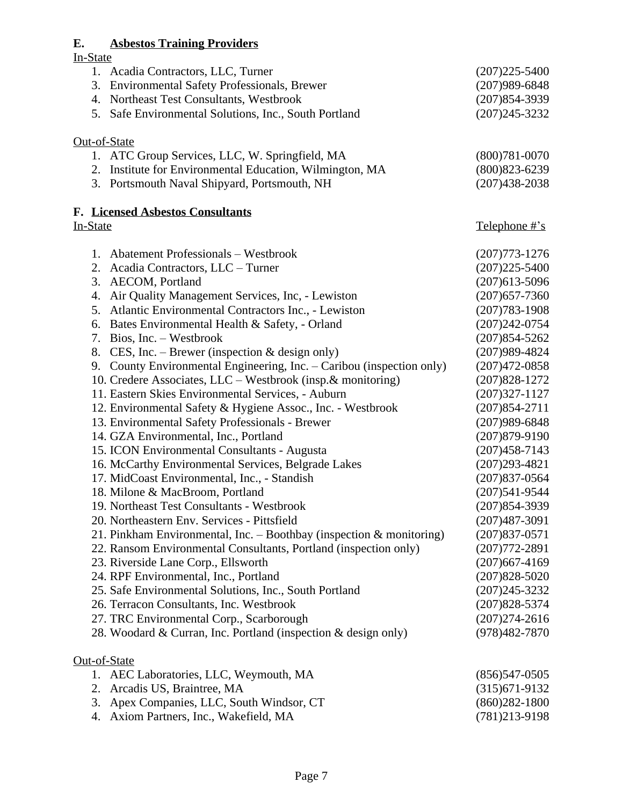### **E. Asbestos Training Providers**  $E.$ <br>In-S

| <u>In-State</u>                                                         |                   |
|-------------------------------------------------------------------------|-------------------|
| 1. Acadia Contractors, LLC, Turner                                      | $(207)225 - 5400$ |
| 3. Environmental Safety Professionals, Brewer                           | $(207)989 - 6848$ |
| 4. Northeast Test Consultants, Westbrook                                | $(207)854-3939$   |
|                                                                         |                   |
| 5. Safe Environmental Solutions, Inc., South Portland                   | $(207)245 - 3232$ |
| Out-of-State                                                            |                   |
| 1. ATC Group Services, LLC, W. Springfield, MA                          | $(800)781 - 0070$ |
|                                                                         | $(800)823 - 6239$ |
| 2. Institute for Environmental Education, Wilmington, MA                |                   |
| 3. Portsmouth Naval Shipyard, Portsmouth, NH                            | $(207)438 - 2038$ |
| F. Licensed Asbestos Consultants                                        |                   |
| In-State                                                                | Telephone #'s     |
|                                                                         |                   |
| 1. Abatement Professionals – Westbrook                                  | $(207)773 - 1276$ |
| 2.<br>Acadia Contractors, LLC - Turner                                  | $(207)225 - 5400$ |
| <b>AECOM</b> , Portland<br>3.                                           | $(207)613 - 5096$ |
| Air Quality Management Services, Inc. - Lewiston<br>4.                  | $(207)$ 657-7360  |
| 5. Atlantic Environmental Contractors Inc., - Lewiston                  | $(207)783 - 1908$ |
| Bates Environmental Health & Safety, - Orland<br>6.                     | $(207)242-0754$   |
| Bios, Inc. – Westbrook<br>7.                                            | $(207)854 - 5262$ |
| 8. CES, Inc. – Brewer (inspection $&$ design only)                      | $(207)989 - 4824$ |
|                                                                         |                   |
| 9. County Environmental Engineering, Inc. – Caribou (inspection only)   | $(207)472 - 0858$ |
| 10. Credere Associates, LLC – Westbrook (insp. & monitoring)            | $(207)828 - 1272$ |
| 11. Eastern Skies Environmental Services, - Auburn                      | $(207)327 - 1127$ |
| 12. Environmental Safety & Hygiene Assoc., Inc. - Westbrook             | $(207)854 - 2711$ |
| 13. Environmental Safety Professionals - Brewer                         | $(207)989 - 6848$ |
| 14. GZA Environmental, Inc., Portland                                   | $(207)879 - 9190$ |
| 15. ICON Environmental Consultants - Augusta                            | $(207)458 - 7143$ |
| 16. McCarthy Environmental Services, Belgrade Lakes                     | $(207)293 - 4821$ |
| 17. MidCoast Environmental, Inc., - Standish                            | $(207)837 - 0564$ |
| 18. Milone & MacBroom, Portland                                         | $(207)541-9544$   |
| 19. Northeast Test Consultants - Westbrook                              | $(207)854-3939$   |
| 20. Northeastern Env. Services - Pittsfield                             | $(207)487 - 3091$ |
| 21. Pinkham Environmental, Inc. - Boothbay (inspection $\&$ monitoring) | $(207)837 - 0571$ |
|                                                                         |                   |
| 22. Ransom Environmental Consultants, Portland (inspection only)        | $(207)772 - 2891$ |
| 23. Riverside Lane Corp., Ellsworth                                     | $(207)667 - 4169$ |
| 24. RPF Environmental, Inc., Portland                                   | $(207)828 - 5020$ |
| 25. Safe Environmental Solutions, Inc., South Portland                  | $(207)245 - 3232$ |
| 26. Terracon Consultants, Inc. Westbrook                                | $(207)828 - 5374$ |
| 27. TRC Environmental Corp., Scarborough                                | $(207)274 - 2616$ |
| 28. Woodard & Curran, Inc. Portland (inspection & design only)          | (978)482-7870     |
| Out-of-State                                                            |                   |
| 1. AEC Laboratories, LLC, Weymouth, MA                                  | $(856)547-0505$   |
| Arcadis US, Braintree, MA<br>2.                                         | $(315)671-9132$   |
|                                                                         |                   |
| Apex Companies, LLC, South Windsor, CT<br>3.                            | $(860)282 - 1800$ |
| Axiom Partners, Inc., Wakefield, MA<br>4.                               | $(781)213-9198$   |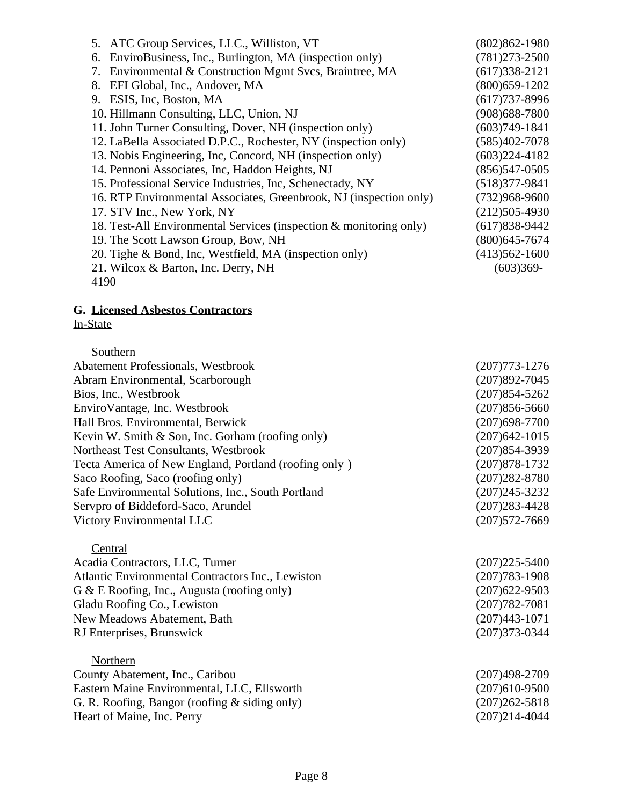| 5. ATC Group Services, LLC., Williston, VT                         | $(802)862 - 1980$ |
|--------------------------------------------------------------------|-------------------|
| EnviroBusiness, Inc., Burlington, MA (inspection only)<br>6.       | $(781)273 - 2500$ |
| Environmental & Construction Mgmt Svcs, Braintree, MA<br>7.        | $(617)338-2121$   |
| EFI Global, Inc., Andover, MA<br>8.                                | $(800)$ 659-1202  |
| 9. ESIS, Inc, Boston, MA                                           | $(617)737 - 8996$ |
| 10. Hillmann Consulting, LLC, Union, NJ                            | $(908)688 - 7800$ |
| 11. John Turner Consulting, Dover, NH (inspection only)            | $(603)749-1841$   |
| 12. LaBella Associated D.P.C., Rochester, NY (inspection only)     | $(585)402 - 7078$ |
| 13. Nobis Engineering, Inc, Concord, NH (inspection only)          | $(603)224-4182$   |
| 14. Pennoni Associates, Inc, Haddon Heights, NJ                    | $(856)547-0505$   |
| 15. Professional Service Industries, Inc. Schenectady, NY          | $(518)377-9841$   |
| 16. RTP Environmental Associates, Greenbrook, NJ (inspection only) | $(732)968 - 9600$ |
| 17. STV Inc., New York, NY                                         | $(212)505-4930$   |
| 18. Test-All Environmental Services (inspection & monitoring only) | $(617)838-9442$   |
| 19. The Scott Lawson Group, Bow, NH                                | $(800)$ 645-7674  |
| 20. Tighe & Bond, Inc, Westfield, MA (inspection only)             | $(413)562 - 1600$ |
| 21. Wilcox & Barton, Inc. Derry, NH                                | $(603)369-$       |
| 4190                                                               |                   |

#### **G. Licensed Asbestos Contractors** In-State

| Southern                                              |                   |
|-------------------------------------------------------|-------------------|
| <b>Abatement Professionals, Westbrook</b>             | $(207)773 - 1276$ |
| Abram Environmental, Scarborough                      | $(207)892 - 7045$ |
| Bios, Inc., Westbrook                                 | $(207)854 - 5262$ |
| Enviro Vantage, Inc. Westbrook                        | $(207)856 - 5660$ |
| Hall Bros. Environmental, Berwick                     | $(207)698 - 7700$ |
| Kevin W. Smith $&$ Son, Inc. Gorham (roofing only)    | $(207)642 - 1015$ |
| Northeast Test Consultants, Westbrook                 | $(207)854-3939$   |
| Tecta America of New England, Portland (roofing only) | $(207)878 - 1732$ |
| Saco Roofing, Saco (roofing only)                     | $(207)282 - 8780$ |
| Safe Environmental Solutions, Inc., South Portland    | $(207)245 - 3232$ |
| Servpro of Biddeford-Saco, Arundel                    | $(207)283 - 4428$ |
| Victory Environmental LLC                             | $(207)572 - 7669$ |
|                                                       |                   |

**Central** Acadia Contractors, LLC, Turner (207)225-5400 Atlantic Environmental Contractors Inc., Lewiston (207)783-1908<br>
G & E Roofing, Inc., Augusta (roofing only) (207)622-9503 G & E Roofing, Inc., Augusta (roofing only) Gladu Roofing Co., Lewiston (207)782-7081 New Meadows Abatement, Bath (207)443-1071<br>
RJ Enterprises, Brunswick (207)373-0344 RJ Enterprises, Brunswick

| Northern                                         |                   |
|--------------------------------------------------|-------------------|
| County Abatement, Inc., Caribou                  | $(207)498 - 2709$ |
| Eastern Maine Environmental, LLC, Ellsworth      | $(207)610-9500$   |
| G. R. Roofing, Bangor (roofing $\&$ siding only) | $(207)262 - 5818$ |
| Heart of Maine, Inc. Perry                       | $(207)214 - 4044$ |